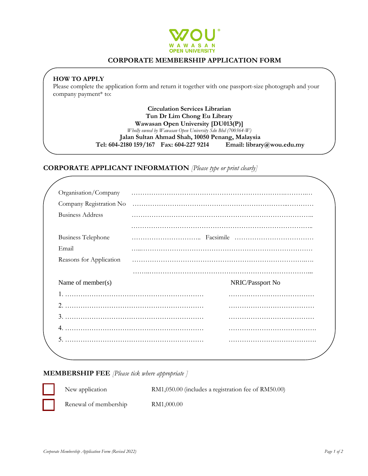

# **CORPORATE MEMBERSHIP APPLICATION FORM**

## **HOW TO APPLY**

Please complete the application form and return it together with one passport-size photograph and your company payment\* to:

> **Circulation Services Librarian Tun Dr Lim Chong Eu Library Wawasan Open University [DU013(P)]** *Wholly owned by Wawasan Open University Sdn Bhd (700364-W)* **Jalan Sultan Ahmad Shah, 10050 Penang, Malaysia Tel: 604-2180 159/167 Fax: 604-227 9214 Email: library@wou.edu.my**

## **CORPORATE APPLICANT INFORMATION** *[Please type or print clearly]*

| Organisation/Company<br>Company Registration No<br><b>Business Address</b><br><b>Business Telephone</b><br>Reasons for Application |                  |
|------------------------------------------------------------------------------------------------------------------------------------|------------------|
|                                                                                                                                    |                  |
|                                                                                                                                    |                  |
|                                                                                                                                    |                  |
|                                                                                                                                    |                  |
|                                                                                                                                    |                  |
|                                                                                                                                    |                  |
|                                                                                                                                    |                  |
|                                                                                                                                    |                  |
| Name of member( $s$ )                                                                                                              | NRIC/Passport No |
|                                                                                                                                    |                  |
|                                                                                                                                    |                  |
|                                                                                                                                    |                  |
|                                                                                                                                    |                  |
|                                                                                                                                    |                  |
|                                                                                                                                    |                  |

#### **MEMBERSHIP FEE** *[Please tick where appropriate ]*



New application RM1,050.00 (includes a registration fee of RM50.00)

Renewal of membership RM1,000.00